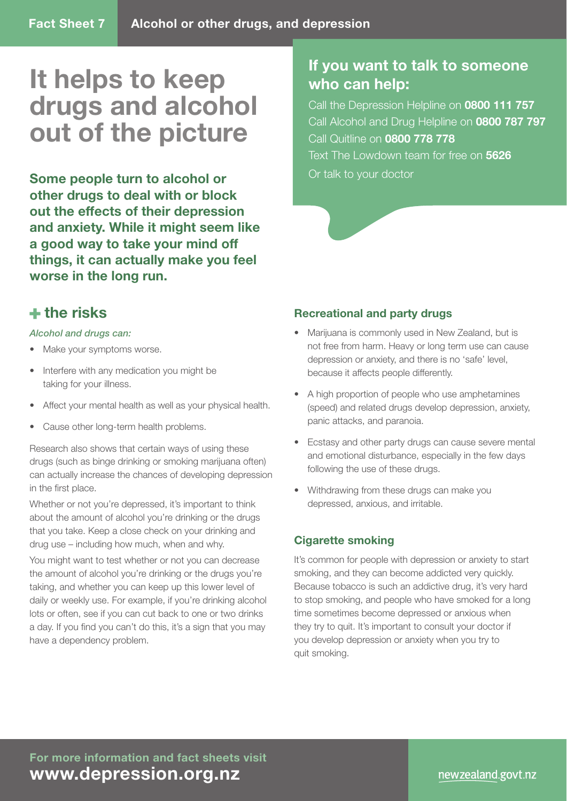# **It helps to keep drugs and alcohol out of the picture**

**Some people turn to alcohol or other drugs to deal with or block out the effects of their depression and anxiety. While it might seem like a good way to take your mind off things, it can actually make you feel worse in the long run.** 

## **If you want to talk to someone who can help:**

Call the Depression Helpline on **0800 111 757** Call Alcohol and Drug Helpline on **0800 787 797** Call Quitline on **0800 778 778**

Text The Lowdown team for free on **5626** Or talk to your doctor

## **the risks**

#### *Alcohol and drugs can:*

- Make your symptoms worse.
- Interfere with any medication you might be taking for your illness.
- Affect your mental health as well as your physical health.
- Cause other long-term health problems.

Research also shows that certain ways of using these drugs (such as binge drinking or smoking marijuana often) can actually increase the chances of developing depression in the first place.

Whether or not you're depressed, it's important to think about the amount of alcohol you're drinking or the drugs that you take. Keep a close check on your drinking and drug use – including how much, when and why.

You might want to test whether or not you can decrease the amount of alcohol you're drinking or the drugs you're taking, and whether you can keep up this lower level of daily or weekly use. For example, if you're drinking alcohol lots or often, see if you can cut back to one or two drinks a day. If you find you can't do this, it's a sign that you may have a dependency problem.

### **Recreational and party drugs**

- Marijuana is commonly used in New Zealand, but is not free from harm. Heavy or long term use can cause depression or anxiety, and there is no 'safe' level, because it affects people differently.
- A high proportion of people who use amphetamines (speed) and related drugs develop depression, anxiety, panic attacks, and paranoia.
- Ecstasy and other party drugs can cause severe mental and emotional disturbance, especially in the few days following the use of these drugs.
- Withdrawing from these drugs can make you depressed, anxious, and irritable.

### **Cigarette smoking**

It's common for people with depression or anxiety to start smoking, and they can become addicted very quickly. Because tobacco is such an addictive drug, it's very hard to stop smoking, and people who have smoked for a long time sometimes become depressed or anxious when they try to quit. It's important to consult your doctor if you develop depression or anxiety when you try to quit smoking.